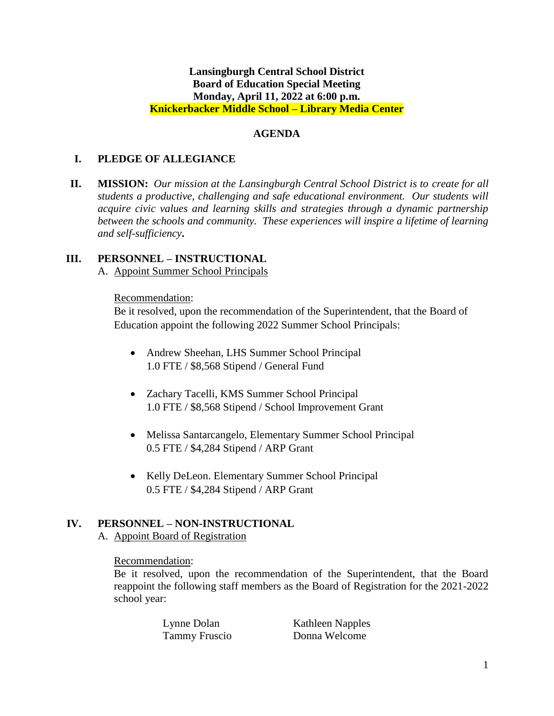### **Lansingburgh Central School District Board of Education Special Meeting Monday, April 11, 2022 at 6:00 p.m. Knickerbacker Middle School – Library Media Center**

### **AGENDA**

## **I. PLEDGE OF ALLEGIANCE**

**II. MISSION:** *Our mission at the Lansingburgh Central School District is to create for all students a productive, challenging and safe educational environment. Our students will acquire civic values and learning skills and strategies through a dynamic partnership between the schools and community. These experiences will inspire a lifetime of learning and self-sufficiency***.**

### **III. PERSONNEL – INSTRUCTIONAL**

A. Appoint Summer School Principals

#### Recommendation:

Be it resolved, upon the recommendation of the Superintendent, that the Board of Education appoint the following 2022 Summer School Principals:

- Andrew Sheehan, LHS Summer School Principal 1.0 FTE / \$8,568 Stipend / General Fund
- Zachary Tacelli, KMS Summer School Principal 1.0 FTE / \$8,568 Stipend / School Improvement Grant
- Melissa Santarcangelo, Elementary Summer School Principal 0.5 FTE / \$4,284 Stipend / ARP Grant
- Kelly DeLeon. Elementary Summer School Principal 0.5 FTE / \$4,284 Stipend / ARP Grant

#### **IV. PERSONNEL – NON-INSTRUCTIONAL**

A. Appoint Board of Registration

#### Recommendation:

Be it resolved, upon the recommendation of the Superintendent, that the Board reappoint the following staff members as the Board of Registration for the 2021-2022 school year:

> Lynne Dolan Kathleen Napples Tammy Fruscio Donna Welcome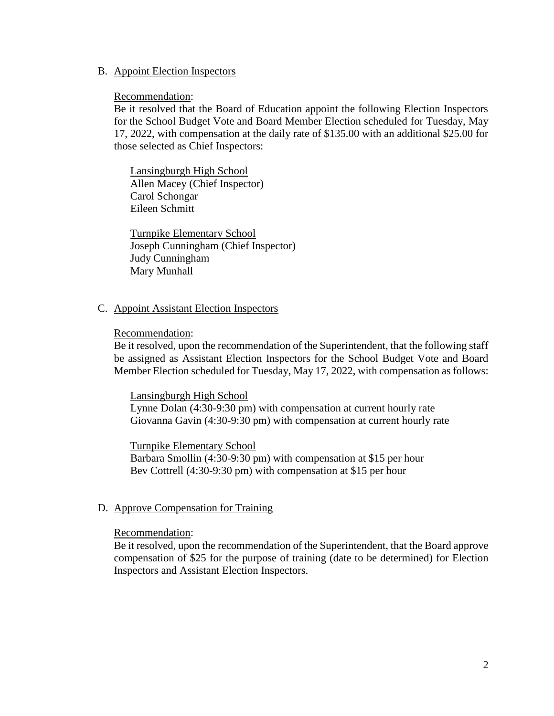#### B. Appoint Election Inspectors

#### Recommendation:

Be it resolved that the Board of Education appoint the following Election Inspectors for the School Budget Vote and Board Member Election scheduled for Tuesday, May 17, 2022, with compensation at the daily rate of \$135.00 with an additional \$25.00 for those selected as Chief Inspectors:

Lansingburgh High School Allen Macey (Chief Inspector) Carol Schongar Eileen Schmitt

Turnpike Elementary School Joseph Cunningham (Chief Inspector) Judy Cunningham Mary Munhall

#### C. Appoint Assistant Election Inspectors

#### Recommendation:

Be it resolved, upon the recommendation of the Superintendent, that the following staff be assigned as Assistant Election Inspectors for the School Budget Vote and Board Member Election scheduled for Tuesday, May 17, 2022, with compensation as follows:

#### Lansingburgh High School

Lynne Dolan (4:30-9:30 pm) with compensation at current hourly rate Giovanna Gavin (4:30-9:30 pm) with compensation at current hourly rate

Turnpike Elementary School

Barbara Smollin (4:30-9:30 pm) with compensation at \$15 per hour Bev Cottrell (4:30-9:30 pm) with compensation at \$15 per hour

#### D. Approve Compensation for Training

#### Recommendation:

Be it resolved, upon the recommendation of the Superintendent, that the Board approve compensation of \$25 for the purpose of training (date to be determined) for Election Inspectors and Assistant Election Inspectors.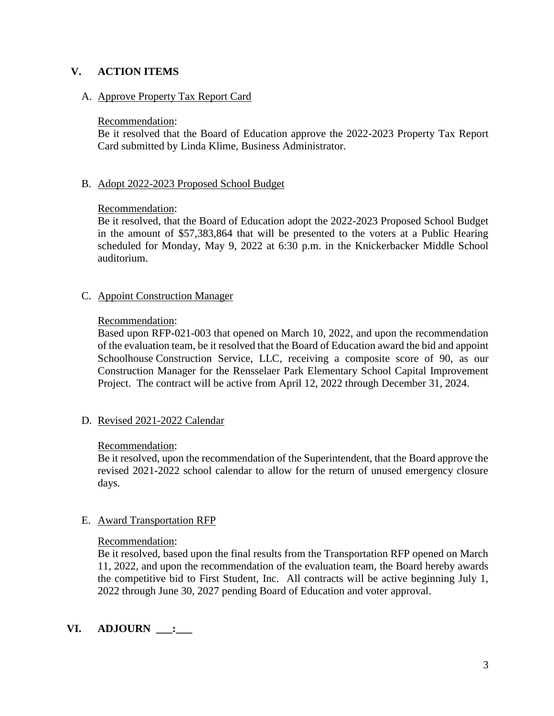# **V. ACTION ITEMS**

# A. Approve Property Tax Report Card

### Recommendation:

Be it resolved that the Board of Education approve the 2022-2023 Property Tax Report Card submitted by Linda Klime, Business Administrator.

# B. Adopt 2022-2023 Proposed School Budget

# Recommendation:

Be it resolved, that the Board of Education adopt the 2022-2023 Proposed School Budget in the amount of \$57,383,864 that will be presented to the voters at a Public Hearing scheduled for Monday, May 9, 2022 at 6:30 p.m. in the Knickerbacker Middle School auditorium.

# C. Appoint Construction Manager

### Recommendation:

Based upon RFP-021-003 that opened on March 10, 2022, and upon the recommendation of the evaluation team, be it resolved that the Board of Education award the bid and appoint Schoolhouse Construction Service, LLC, receiving a composite score of 90, as our Construction Manager for the Rensselaer Park Elementary School Capital Improvement Project. The contract will be active from April 12, 2022 through December 31, 2024.

# D. Revised 2021-2022 Calendar

# Recommendation:

Be it resolved, upon the recommendation of the Superintendent, that the Board approve the revised 2021-2022 school calendar to allow for the return of unused emergency closure days.

# E. Award Transportation RFP

#### Recommendation:

Be it resolved, based upon the final results from the Transportation RFP opened on March 11, 2022, and upon the recommendation of the evaluation team, the Board hereby awards the competitive bid to First Student, Inc. All contracts will be active beginning July 1, 2022 through June 30, 2027 pending Board of Education and voter approval.

# **VI. ADJOURN \_\_\_:\_\_\_**